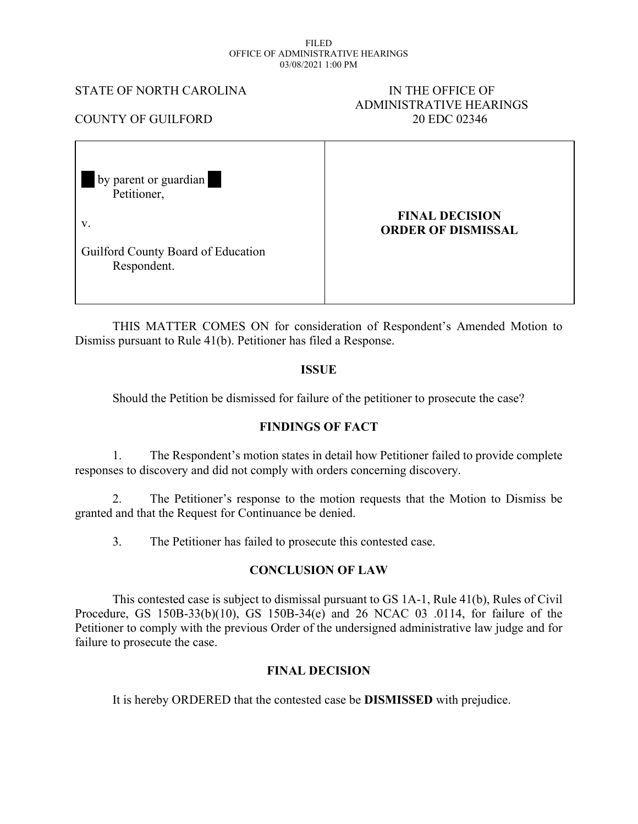#### FILED OFFICE OF ADMINISTRATIVE HEARINGS 03/08/2021 1:00 PM

### STATE OF NORTH CAROLINA IN THE OFFICE OF

# ADMINISTRATIVE HEARINGS

COUNTY OF GUILFORD 20 EDC 02346

 by parent or guardian Petitioner,

v.

**FINAL DECISION ORDER OF DISMISSAL**

Guilford County Board of Education Respondent.

THIS MATTER COMES ON for consideration of Respondent's Amended Motion to Dismiss pursuant to Rule 41(b). Petitioner has filed a Response.

## **ISSUE**

Should the Petition be dismissed for failure of the petitioner to prosecute the case?

## **FINDINGS OF FACT**

1. The Respondent's motion states in detail how Petitioner failed to provide complete responses to discovery and did not comply with orders concerning discovery.

2. The Petitioner's response to the motion requests that the Motion to Dismiss be granted and that the Request for Continuance be denied.

3. The Petitioner has failed to prosecute this contested case.

## **CONCLUSION OF LAW**

This contested case is subject to dismissal pursuant to GS 1A-1, Rule 41(b), Rules of Civil Procedure, GS 150B-33(b)(10), GS 150B-34(e) and 26 NCAC 03 .0114, for failure of the Petitioner to comply with the previous Order of the undersigned administrative law judge and for failure to prosecute the case.

## **FINAL DECISION**

It is hereby ORDERED that the contested case be **DISMISSED** with prejudice.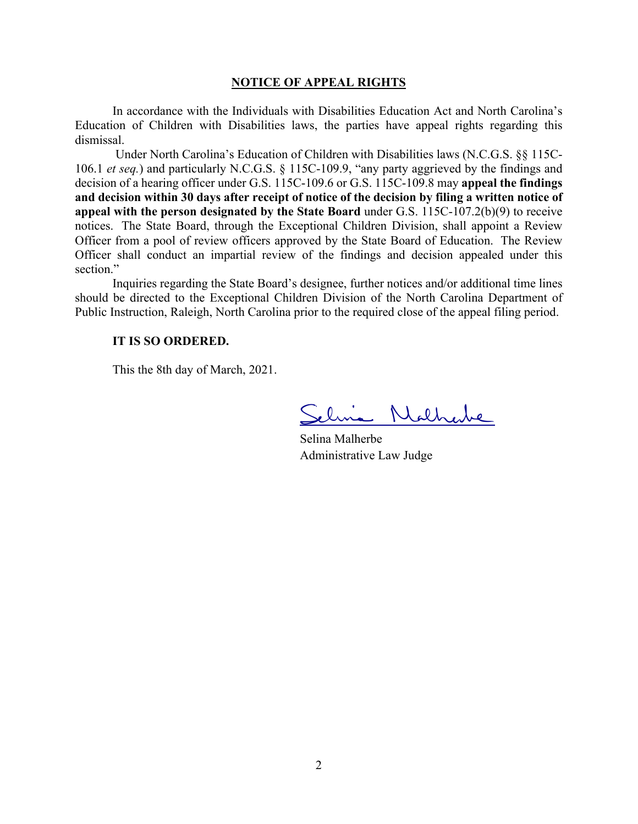#### **NOTICE OF APPEAL RIGHTS**

In accordance with the Individuals with Disabilities Education Act and North Carolina's Education of Children with Disabilities laws, the parties have appeal rights regarding this dismissal.

Under North Carolina's Education of Children with Disabilities laws (N.C.G.S. §§ 115C-106.1 *et seq.*) and particularly N.C.G.S. § 115C-109.9, "any party aggrieved by the findings and decision of a hearing officer under G.S. 115C-109.6 or G.S. 115C-109.8 may **appeal the findings and decision within 30 days after receipt of notice of the decision by filing a written notice of appeal with the person designated by the State Board** under G.S. 115C-107.2(b)(9) to receive notices. The State Board, through the Exceptional Children Division, shall appoint a Review Officer from a pool of review officers approved by the State Board of Education. The Review Officer shall conduct an impartial review of the findings and decision appealed under this section."

Inquiries regarding the State Board's designee, further notices and/or additional time lines should be directed to the Exceptional Children Division of the North Carolina Department of Public Instruction, Raleigh, North Carolina prior to the required close of the appeal filing period.

### **IT IS SO ORDERED.**

This the 8th day of March, 2021.

lina Nathabe

Selina Malherbe Administrative Law Judge